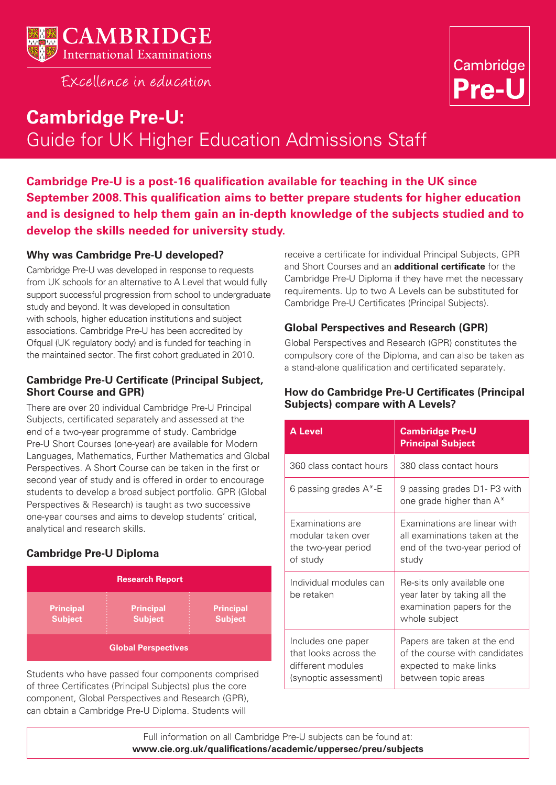

FXcellence in education



# **Cambridge Pre-U:**  Guide for UK Higher Education Admissions Staff

**Cambridge Pre-U is a post-16 qualification available for teaching in the UK since September 2008. This qualification aims to better prepare students for higher education and is designed to help them gain an in-depth knowledge of the subjects studied and to develop the skills needed for university study.**

# **Why was Cambridge Pre-U developed?**

Cambridge Pre-U was developed in response to requests from UK schools for an alternative to A Level that would fully support successful progression from school to undergraduate study and beyond. It was developed in consultation with schools, higher education institutions and subject associations. Cambridge Pre-U has been accredited by Ofqual (UK regulatory body) and is funded for teaching in the maintained sector. The first cohort graduated in 2010.

### **Cambridge Pre-U Certificate (Principal Subject, Short Course and GPR)**

There are over 20 individual Cambridge Pre-U Principal Subjects, certificated separately and assessed at the end of a two-year programme of study. Cambridge Pre-U Short Courses (one-year) are available for Modern Languages, Mathematics, Further Mathematics and Global Perspectives. A Short Course can be taken in the first or second year of study and is offered in order to encourage students to develop a broad subject portfolio. GPR (Global Perspectives & Research) is taught as two successive one-year courses and aims to develop students' critical, analytical and research skills.

# **Cambridge Pre-U Diploma**

| <b>Research Report</b>             |                                    |                                    |  |  |  |
|------------------------------------|------------------------------------|------------------------------------|--|--|--|
| <b>Principal</b><br><b>Subject</b> | <b>Principal</b><br><b>Subject</b> | <b>Principal</b><br><b>Subject</b> |  |  |  |
|                                    | <b>Global Perspectives</b>         |                                    |  |  |  |

Students who have passed four components comprised of three Certificates (Principal Subjects) plus the core component, Global Perspectives and Research (GPR), can obtain a Cambridge Pre-U Diploma. Students will

receive a certificate for individual Principal Subjects, GPR and Short Courses and an **additional certificate** for the Cambridge Pre-U Diploma if they have met the necessary requirements. Up to two A Levels can be substituted for Cambridge Pre-U Certificates (Principal Subjects).

## **Global Perspectives and Research (GPR)**

Global Perspectives and Research (GPR) constitutes the compulsory core of the Diploma, and can also be taken as a stand-alone qualification and certificated separately.

## **How do Cambridge Pre-U Certificates (Principal Subjects) compare with A Levels?**

| <b>A Level</b>                                                                            | <b>Cambridge Pre-U</b><br><b>Principal Subject</b>                                                            |  |  |
|-------------------------------------------------------------------------------------------|---------------------------------------------------------------------------------------------------------------|--|--|
| 360 class contact hours                                                                   | 380 class contact hours                                                                                       |  |  |
| 6 passing grades A*-E                                                                     | 9 passing grades D1- P3 with<br>one grade higher than A*                                                      |  |  |
| Examinations are<br>modular taken over<br>the two-year period<br>of study                 | Examinations are linear with<br>all examinations taken at the<br>end of the two-year period of<br>study       |  |  |
| Individual modules can<br>be retaken                                                      | Re-sits only available one<br>year later by taking all the<br>examination papers for the<br>whole subject     |  |  |
| Includes one paper<br>that looks across the<br>different modules<br>(synoptic assessment) | Papers are taken at the end<br>of the course with candidates<br>expected to make links<br>between topic areas |  |  |

Full information on all Cambridge Pre-U subjects can be found at: **www.cie.org.uk/qualifications/academic/uppersec/preu/subjects**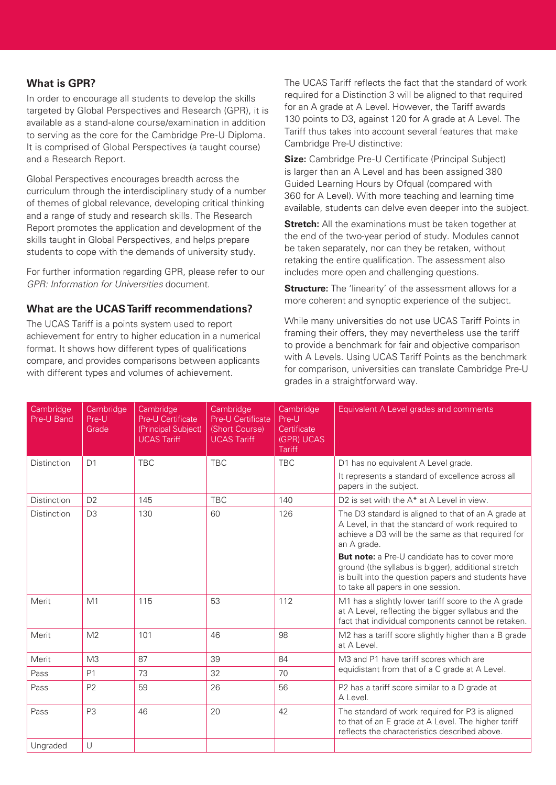## **What is GPR?**

In order to encourage all students to develop the skills targeted by Global Perspectives and Research (GPR), it is available as a stand-alone course/examination in addition to serving as the core for the Cambridge Pre-U Diploma. It is comprised of Global Perspectives (a taught course) and a Research Report.

Global Perspectives encourages breadth across the curriculum through the interdisciplinary study of a number of themes of global relevance, developing critical thinking and a range of study and research skills. The Research Report promotes the application and development of the skills taught in Global Perspectives, and helps prepare students to cope with the demands of university study.

For further information regarding GPR, please refer to our GPR: Information for Universities document.

## **What are the UCAS Tariff recommendations?**

The UCAS Tariff is a points system used to report achievement for entry to higher education in a numerical format. It shows how different types of qualifications compare, and provides comparisons between applicants with different types and volumes of achievement.

The UCAS Tariff reflects the fact that the standard of work required for a Distinction 3 will be aligned to that required for an A grade at A Level. However, the Tariff awards 130 points to D3, against 120 for A grade at A Level. The Tariff thus takes into account several features that make Cambridge Pre-U distinctive:

**Size:** Cambridge Pre-U Certificate (Principal Subject) is larger than an A Level and has been assigned 380 Guided Learning Hours by Ofqual (compared with 360 for A Level). With more teaching and learning time available, students can delve even deeper into the subject.

**Stretch:** All the examinations must be taken together at the end of the two-year period of study. Modules cannot be taken separately, nor can they be retaken, without retaking the entire qualification. The assessment also includes more open and challenging questions.

**Structure:** The 'linearity' of the assessment allows for a more coherent and synoptic experience of the subject.

While many universities do not use UCAS Tariff Points in framing their offers, they may nevertheless use the tariff to provide a benchmark for fair and objective comparison with A Levels. Using UCAS Tariff Points as the benchmark for comparison, universities can translate Cambridge Pre-U grades in a straightforward way.

| Cambridge<br>Pre-U Band       | Cambridge<br>Pre-U<br>Grade | Cambridge<br><b>Pre-U Certificate</b><br>(Principal Subject)<br><b>UCAS Tariff</b> | Cambridge<br><b>Pre-U Certificate</b><br>(Short Course)<br><b>UCAS Tariff</b> | Cambridge<br>Pre-U<br>Certificate<br>(GPR) UCAS<br><b>Tariff</b> | Equivalent A Level grades and comments                                                                                                                                                                   |
|-------------------------------|-----------------------------|------------------------------------------------------------------------------------|-------------------------------------------------------------------------------|------------------------------------------------------------------|----------------------------------------------------------------------------------------------------------------------------------------------------------------------------------------------------------|
| Distinction                   | D <sub>1</sub>              | <b>TBC</b>                                                                         | <b>TBC</b>                                                                    | <b>TBC</b>                                                       | D1 has no equivalent A Level grade.<br>It represents a standard of excellence across all<br>papers in the subject.                                                                                       |
| <b>Distinction</b>            | D <sub>2</sub>              | 145                                                                                | <b>TBC</b>                                                                    | 140                                                              | D2 is set with the A* at A Level in view.                                                                                                                                                                |
| D <sub>3</sub><br>Distinction |                             | 130                                                                                | 60                                                                            | 126                                                              | The D3 standard is aligned to that of an A grade at<br>A Level, in that the standard of work required to<br>achieve a D3 will be the same as that required for<br>an A grade.                            |
|                               |                             |                                                                                    |                                                                               |                                                                  | <b>But note:</b> a Pre-U candidate has to cover more<br>ground (the syllabus is bigger), additional stretch<br>is built into the question papers and students have<br>to take all papers in one session. |
| Merit                         | M1                          | 115                                                                                | 53                                                                            | 112                                                              | M1 has a slightly lower tariff score to the A grade<br>at A Level, reflecting the bigger syllabus and the<br>fact that individual components cannot be retaken.                                          |
| Merit                         | M <sub>2</sub>              | 101                                                                                | 46                                                                            | 98                                                               | M2 has a tariff score slightly higher than a B grade<br>at A Level.                                                                                                                                      |
| Merit                         | M <sub>3</sub>              | 87                                                                                 | 39                                                                            | 84                                                               | M3 and P1 have tariff scores which are<br>equidistant from that of a C grade at A Level.                                                                                                                 |
| Pass                          | P1                          | 73                                                                                 | 32                                                                            | 70                                                               |                                                                                                                                                                                                          |
| Pass                          | P <sub>2</sub>              | 59                                                                                 | 26                                                                            | 56                                                               | P2 has a tariff score similar to a D grade at<br>A Level.                                                                                                                                                |
| Pass                          | P <sub>3</sub>              | 46                                                                                 | 20                                                                            | 42                                                               | The standard of work required for P3 is aligned<br>to that of an E grade at A Level. The higher tariff<br>reflects the characteristics described above.                                                  |
| Ungraded                      | $\cup$                      |                                                                                    |                                                                               |                                                                  |                                                                                                                                                                                                          |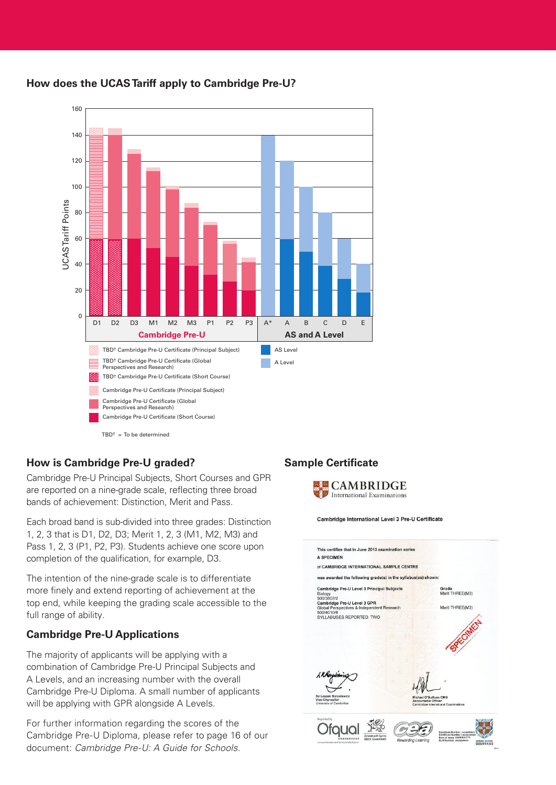

# **How does the UCAS Tariff apply to Cambridge Pre-U?**

# **How is Cambridge Pre-U graded?**

Cambridge Pre-U Principal Subjects, Short Courses and GPR are reported on a nine-grade scale, reflecting three broad bands of achievement: Distinction, Merit and Pass.

Each broad band is sub-divided into three grades: Distinction 1, 2, 3 that is D1, D2, D3; Merit 1, 2, 3 (M1, M2, M3) and Pass 1, 2, 3 (P1, P2, P3). Students achieve one score upon completion of the qualification, for example, D3.

The intention of the nine-grade scale is to differentiate more finely and extend reporting of achievement at the top end, while keeping the grading scale accessible to the full range of ability.

# **Cambridge Pre-U Applications**

The majority of applicants will be applying with a combination of Cambridge Pre-U Principal Subjects and A Levels, and an increasing number with the overall Cambridge Pre-U Diploma. A small number of applicants will be applying with GPR alongside A Levels.

For further information regarding the scores of the Cambridge Pre-U Diploma, please refer to page 16 of our document: Cambridge Pre-U: A Guide for Schools.

# **Sample Certificate**



Cambridge International Level 3 Pre-U Certificate